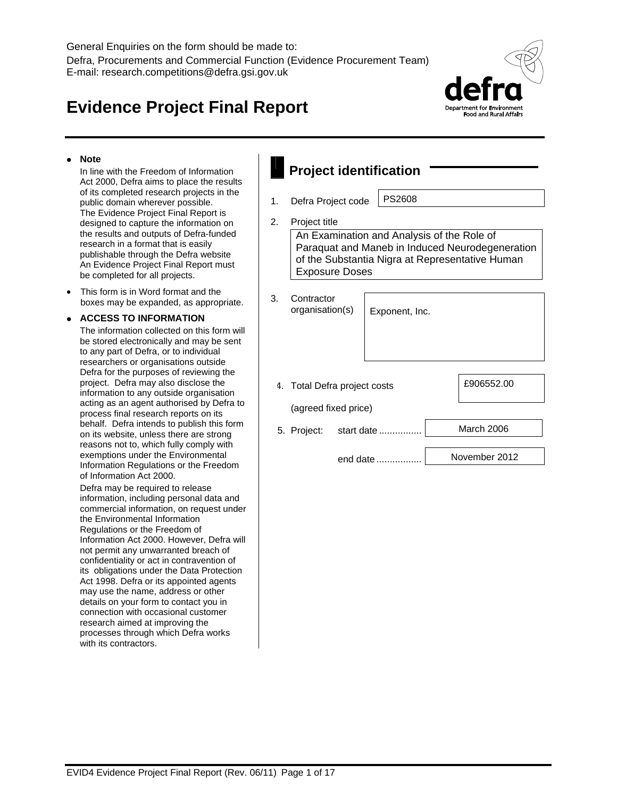# **Evidence Project Final Report**



# **Note**

 In line with the Freedom of Information Act 2000, Defra aims to place the results of its completed research projects in the public domain wherever possible. The Evidence Project Final Report is designed to capture the information on the results and outputs of Defra-funded research in a format that is easily publishable through the Defra website An Evidence Project Final Report must be completed for all projects.

 This form is in Word format and the boxes may be expanded, as appropriate.

# **ACCESS TO INFORMATION**

 The information collected on this form will be stored electronically and may be sent to any part of Defra, or to individual researchers or organisations outside Defra for the purposes of reviewing the project. Defra may also disclose the information to any outside organisation acting as an agent authorised by Defra to process final research reports on its behalf. Defra intends to publish this form on its website, unless there are strong reasons not to, which fully comply with exemptions under the Environmental Information Regulations or the Freedom of Information Act 2000.

 Defra may be required to release information, including personal data and commercial information, on request under the Environmental Information Regulations or the Freedom of Information Act 2000. However, Defra will not permit any unwarranted breach of confidentiality or act in contravention of its obligations under the Data Protection Act 1998. Defra or its appointed agents may use the name, address or other details on your form to contact you in connection with occasional customer research aimed at improving the processes through which Defra works with its contractors.

| <b>Project identification</b> |                                                                                                                                                                                            |          |               |  |  |  |  |  |
|-------------------------------|--------------------------------------------------------------------------------------------------------------------------------------------------------------------------------------------|----------|---------------|--|--|--|--|--|
| 1.                            | Defra Project code                                                                                                                                                                         | PS2608   |               |  |  |  |  |  |
| 2.                            | Project title<br>An Examination and Analysis of the Role of<br>Paraquat and Maneb in Induced Neurodegeneration<br>of the Substantia Nigra at Representative Human<br><b>Exposure Doses</b> |          |               |  |  |  |  |  |
| 3.                            | Contractor<br>organisation(s)<br>Exponent, Inc.                                                                                                                                            |          |               |  |  |  |  |  |
|                               | 4. Total Defra project costs                                                                                                                                                               |          | £906552.00    |  |  |  |  |  |
|                               | (agreed fixed price)                                                                                                                                                                       |          |               |  |  |  |  |  |
|                               | March 2006<br>5. Project:<br>start date                                                                                                                                                    |          |               |  |  |  |  |  |
|                               |                                                                                                                                                                                            | end date | November 2012 |  |  |  |  |  |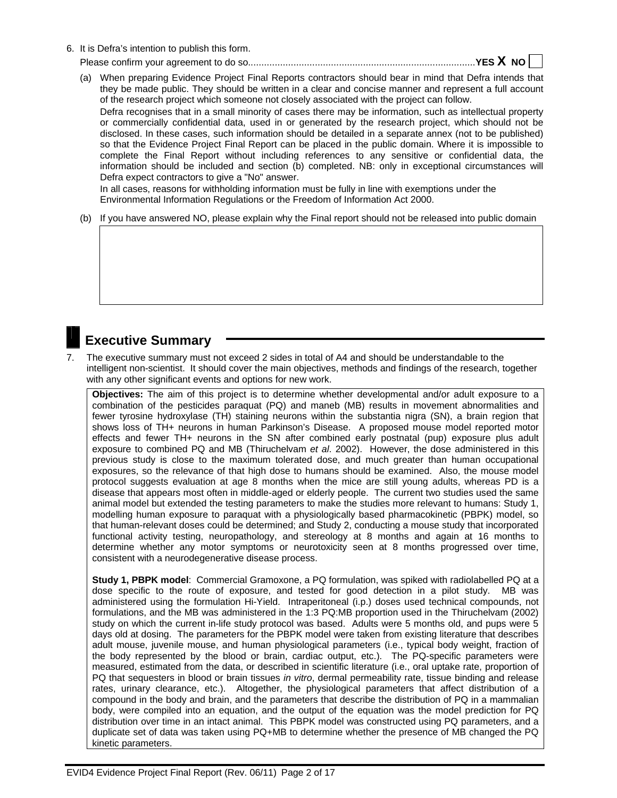6. It is Defra's intention to publish this form.

Please confirm your agreement to do so. .................................................................................... **YES X NO** 

(a) When preparing Evidence Project Final Reports contractors should bear in mind that Defra intends that they be made public. They should be written in a clear and concise manner and represent a full account of the research project which someone not closely associated with the project can follow. Defra recognises that in a small minority of cases there may be information, such as intellectual property or commercially confidential data, used in or generated by the research project, which should not be disclosed. In these cases, such information should be detailed in a separate annex (not to be published) so that the Evidence Project Final Report can be placed in the public domain. Where it is impossible to complete the Final Report without including references to any sensitive or confidential data, the information should be included and section (b) completed. NB: only in exceptional circumstances will Defra expect contractors to give a "No" answer. In all cases, reasons for withholding information must be fully in line with exemptions under the

Environmental Information Regulations or the Freedom of Information Act 2000.

(b) If you have answered NO, please explain why the Final report should not be released into public domain

# **Executive Summary**

7. The executive summary must not exceed 2 sides in total of A4 and should be understandable to the intelligent non-scientist. It should cover the main objectives, methods and findings of the research, together with any other significant events and options for new work.

**Objectives:** The aim of this project is to determine whether developmental and/or adult exposure to a combination of the pesticides paraquat (PQ) and maneb (MB) results in movement abnormalities and fewer tyrosine hydroxylase (TH) staining neurons within the substantia nigra (SN), a brain region that shows loss of TH+ neurons in human Parkinson's Disease. A proposed mouse model reported motor effects and fewer TH+ neurons in the SN after combined early postnatal (pup) exposure plus adult exposure to combined PQ and MB (Thiruchelvam *et al*. 2002). However, the dose administered in this previous study is close to the maximum tolerated dose, and much greater than human occupational exposures, so the relevance of that high dose to humans should be examined. Also, the mouse model protocol suggests evaluation at age 8 months when the mice are still young adults, whereas PD is a disease that appears most often in middle-aged or elderly people. The current two studies used the same animal model but extended the testing parameters to make the studies more relevant to humans: Study 1, modelling human exposure to paraquat with a physiologically based pharmacokinetic (PBPK) model, so that human-relevant doses could be determined; and Study 2, conducting a mouse study that incorporated functional activity testing, neuropathology, and stereology at 8 months and again at 16 months to determine whether any motor symptoms or neurotoxicity seen at 8 months progressed over time, consistent with a neurodegenerative disease process.

**Study 1, PBPK model**: Commercial Gramoxone, a PQ formulation, was spiked with radiolabelled PQ at a dose specific to the route of exposure, and tested for good detection in a pilot study. MB was administered using the formulation Hi-Yield. Intraperitoneal (i.p.) doses used technical compounds, not formulations, and the MB was administered in the 1:3 PQ:MB proportion used in the Thiruchelvam (2002) study on which the current in-life study protocol was based. Adults were 5 months old, and pups were 5 days old at dosing. The parameters for the PBPK model were taken from existing literature that describes adult mouse, juvenile mouse, and human physiological parameters (i.e., typical body weight, fraction of the body represented by the blood or brain, cardiac output, etc.). The PQ-specific parameters were measured, estimated from the data, or described in scientific literature (i.e., oral uptake rate, proportion of PQ that sequesters in blood or brain tissues *in vitro*, dermal permeability rate, tissue binding and release rates, urinary clearance, etc.). Altogether, the physiological parameters that affect distribution of a compound in the body and brain, and the parameters that describe the distribution of PQ in a mammalian body, were compiled into an equation, and the output of the equation was the model prediction for PQ distribution over time in an intact animal. This PBPK model was constructed using PQ parameters, and a duplicate set of data was taken using PQ+MB to determine whether the presence of MB changed the PQ kinetic parameters.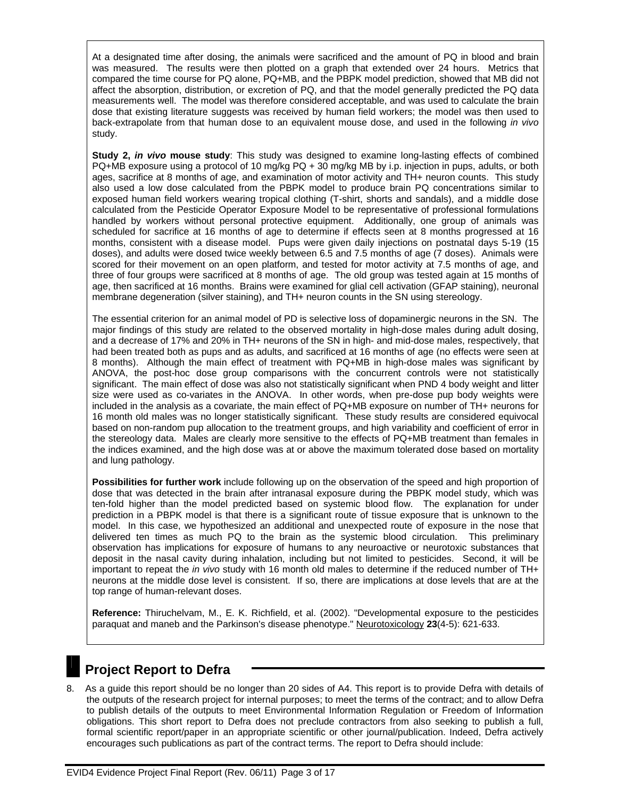At a designated time after dosing, the animals were sacrificed and the amount of PQ in blood and brain was measured. The results were then plotted on a graph that extended over 24 hours. Metrics that compared the time course for PQ alone, PQ+MB, and the PBPK model prediction, showed that MB did not affect the absorption, distribution, or excretion of PQ, and that the model generally predicted the PQ data measurements well. The model was therefore considered acceptable, and was used to calculate the brain dose that existing literature suggests was received by human field workers; the model was then used to back-extrapolate from that human dose to an equivalent mouse dose, and used in the following *in vivo* study.

**Study 2,** *in vivo* **mouse study**: This study was designed to examine long-lasting effects of combined PQ+MB exposure using a protocol of 10 mg/kg PQ + 30 mg/kg MB by i.p. injection in pups, adults, or both ages, sacrifice at 8 months of age, and examination of motor activity and TH+ neuron counts. This study also used a low dose calculated from the PBPK model to produce brain PQ concentrations similar to exposed human field workers wearing tropical clothing (T-shirt, shorts and sandals), and a middle dose calculated from the Pesticide Operator Exposure Model to be representative of professional formulations handled by workers without personal protective equipment. Additionally, one group of animals was scheduled for sacrifice at 16 months of age to determine if effects seen at 8 months progressed at 16 months, consistent with a disease model. Pups were given daily injections on postnatal days 5-19 (15 doses), and adults were dosed twice weekly between 6.5 and 7.5 months of age (7 doses). Animals were scored for their movement on an open platform, and tested for motor activity at 7.5 months of age, and three of four groups were sacrificed at 8 months of age. The old group was tested again at 15 months of age, then sacrificed at 16 months. Brains were examined for glial cell activation (GFAP staining), neuronal membrane degeneration (silver staining), and TH+ neuron counts in the SN using stereology.

The essential criterion for an animal model of PD is selective loss of dopaminergic neurons in the SN. The major findings of this study are related to the observed mortality in high-dose males during adult dosing, and a decrease of 17% and 20% in TH+ neurons of the SN in high- and mid-dose males, respectively, that had been treated both as pups and as adults, and sacrificed at 16 months of age (no effects were seen at 8 months). Although the main effect of treatment with PQ+MB in high-dose males was significant by ANOVA, the post-hoc dose group comparisons with the concurrent controls were not statistically significant. The main effect of dose was also not statistically significant when PND 4 body weight and litter size were used as co-variates in the ANOVA. In other words, when pre-dose pup body weights were included in the analysis as a covariate, the main effect of PQ+MB exposure on number of TH+ neurons for 16 month old males was no longer statistically significant. These study results are considered equivocal based on non-random pup allocation to the treatment groups, and high variability and coefficient of error in the stereology data. Males are clearly more sensitive to the effects of PQ+MB treatment than females in the indices examined, and the high dose was at or above the maximum tolerated dose based on mortality and lung pathology.

**Possibilities for further work** include following up on the observation of the speed and high proportion of dose that was detected in the brain after intranasal exposure during the PBPK model study, which was ten-fold higher than the model predicted based on systemic blood flow. The explanation for under prediction in a PBPK model is that there is a significant route of tissue exposure that is unknown to the model. In this case, we hypothesized an additional and unexpected route of exposure in the nose that delivered ten times as much PQ to the brain as the systemic blood circulation. This preliminary observation has implications for exposure of humans to any neuroactive or neurotoxic substances that deposit in the nasal cavity during inhalation, including but not limited to pesticides. Second, it will be important to repeat the *in vivo* study with 16 month old males to determine if the reduced number of TH+ neurons at the middle dose level is consistent. If so, there are implications at dose levels that are at the top range of human-relevant doses.

**Reference:** Thiruchelvam, M., E. K. Richfield, et al. (2002). "Developmental exposure to the pesticides paraquat and maneb and the Parkinson's disease phenotype." Neurotoxicology **23**(4-5): 621-633.



# **Project Report to Defra**

8. As a guide this report should be no longer than 20 sides of A4. This report is to provide Defra with details of the outputs of the research project for internal purposes; to meet the terms of the contract; and to allow Defra to publish details of the outputs to meet Environmental Information Regulation or Freedom of Information obligations. This short report to Defra does not preclude contractors from also seeking to publish a full, formal scientific report/paper in an appropriate scientific or other journal/publication. Indeed, Defra actively encourages such publications as part of the contract terms. The report to Defra should include: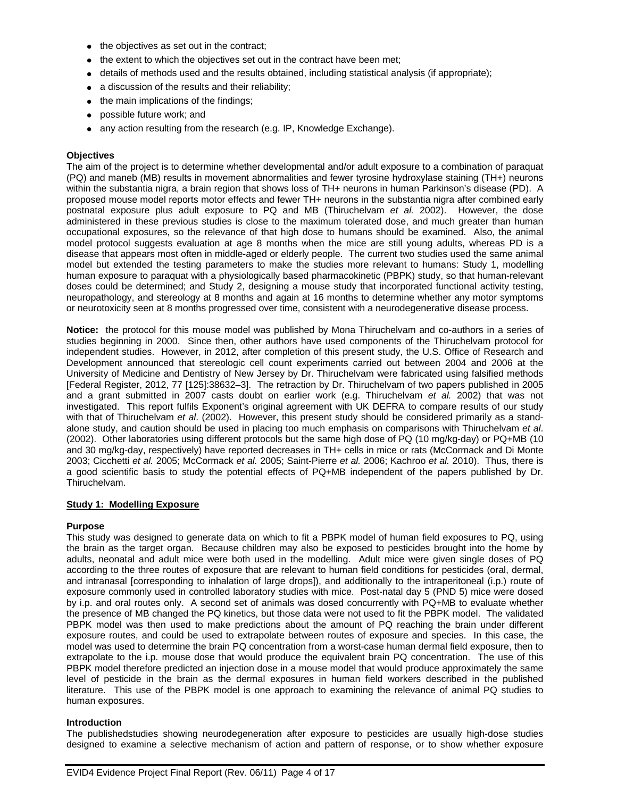- $\bullet$  the objectives as set out in the contract;
- the extent to which the objectives set out in the contract have been met;
- $\bullet$  details of methods used and the results obtained, including statistical analysis (if appropriate);
- a discussion of the results and their reliability;
- the main implications of the findings;
- possible future work; and
- any action resulting from the research (e.g. IP, Knowledge Exchange).

#### **Objectives**

The aim of the project is to determine whether developmental and/or adult exposure to a combination of paraquat (PQ) and maneb (MB) results in movement abnormalities and fewer tyrosine hydroxylase staining (TH+) neurons within the substantia nigra, a brain region that shows loss of TH+ neurons in human Parkinson's disease (PD). A proposed mouse model reports motor effects and fewer TH+ neurons in the substantia nigra after combined early postnatal exposure plus adult exposure to PQ and MB (Thiruchelvam *et al.* 2002). However, the dose administered in these previous studies is close to the maximum tolerated dose, and much greater than human occupational exposures, so the relevance of that high dose to humans should be examined. Also, the animal model protocol suggests evaluation at age 8 months when the mice are still young adults, whereas PD is a disease that appears most often in middle-aged or elderly people. The current two studies used the same animal model but extended the testing parameters to make the studies more relevant to humans: Study 1, modelling human exposure to paraquat with a physiologically based pharmacokinetic (PBPK) study, so that human-relevant doses could be determined; and Study 2, designing a mouse study that incorporated functional activity testing, neuropathology, and stereology at 8 months and again at 16 months to determine whether any motor symptoms or neurotoxicity seen at 8 months progressed over time, consistent with a neurodegenerative disease process.

**Notice:** the protocol for this mouse model was published by Mona Thiruchelvam and co-authors in a series of studies beginning in 2000. Since then, other authors have used components of the Thiruchelvam protocol for independent studies. However, in 2012, after completion of this present study, the U.S. Office of Research and Development announced that stereologic cell count experiments carried out between 2004 and 2006 at the University of Medicine and Dentistry of New Jersey by Dr. Thiruchelvam were fabricated using falsified methods [Federal Register, 2012, 77 [125]:38632–3]. The retraction by Dr. Thiruchelvam of two papers published in 2005 and a grant submitted in 2007 casts doubt on earlier work (e.g. Thiruchelvam *et al.* 2002) that was not investigated. This report fulfils Exponent's original agreement with UK DEFRA to compare results of our study with that of Thiruchelvam *et al*. (2002). However, this present study should be considered primarily as a standalone study, and caution should be used in placing too much emphasis on comparisons with Thiruchelvam *et al*. (2002). Other laboratories using different protocols but the same high dose of PQ (10 mg/kg-day) or PQ+MB (10 and 30 mg/kg-day, respectively) have reported decreases in TH+ cells in mice or rats (McCormack and Di Monte 2003; Cicchetti *et al.* 2005; McCormack *et al.* 2005; Saint-Pierre *et al.* 2006; Kachroo *et al.* 2010). Thus, there is a good scientific basis to study the potential effects of PQ+MB independent of the papers published by Dr. Thiruchelvam.

# **Study 1: Modelling Exposure**

# **Purpose**

This study was designed to generate data on which to fit a PBPK model of human field exposures to PQ, using the brain as the target organ. Because children may also be exposed to pesticides brought into the home by adults, neonatal and adult mice were both used in the modelling. Adult mice were given single doses of PQ according to the three routes of exposure that are relevant to human field conditions for pesticides (oral, dermal, and intranasal [corresponding to inhalation of large drops]), and additionally to the intraperitoneal (i.p.) route of exposure commonly used in controlled laboratory studies with mice. Post-natal day 5 (PND 5) mice were dosed by i.p. and oral routes only. A second set of animals was dosed concurrently with PQ+MB to evaluate whether the presence of MB changed the PQ kinetics, but those data were not used to fit the PBPK model. The validated PBPK model was then used to make predictions about the amount of PQ reaching the brain under different exposure routes, and could be used to extrapolate between routes of exposure and species. In this case, the model was used to determine the brain PQ concentration from a worst-case human dermal field exposure, then to extrapolate to the i.p. mouse dose that would produce the equivalent brain PQ concentration. The use of this PBPK model therefore predicted an injection dose in a mouse model that would produce approximately the same level of pesticide in the brain as the dermal exposures in human field workers described in the published literature. This use of the PBPK model is one approach to examining the relevance of animal PQ studies to human exposures.

#### **Introduction**

The publishedstudies showing neurodegeneration after exposure to pesticides are usually high-dose studies designed to examine a selective mechanism of action and pattern of response, or to show whether exposure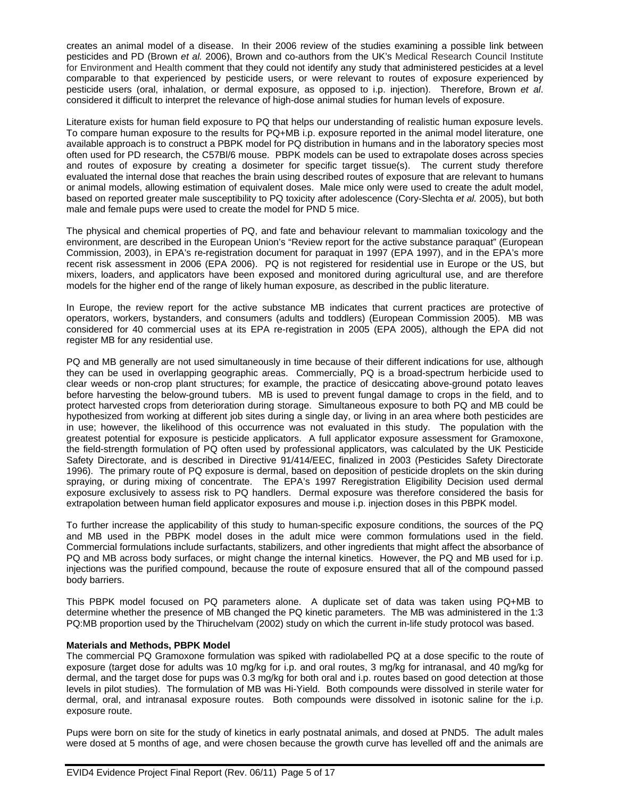creates an animal model of a disease. In their 2006 review of the studies examining a possible link between pesticides and PD (Brown *et al.* 2006), Brown and co-authors from the UK's Medical Research Council Institute for Environment and Health comment that they could not identify any study that administered pesticides at a level comparable to that experienced by pesticide users, or were relevant to routes of exposure experienced by pesticide users (oral, inhalation, or dermal exposure, as opposed to i.p. injection). Therefore, Brown *et al*. considered it difficult to interpret the relevance of high-dose animal studies for human levels of exposure.

Literature exists for human field exposure to PQ that helps our understanding of realistic human exposure levels. To compare human exposure to the results for PQ+MB i.p. exposure reported in the animal model literature, one available approach is to construct a PBPK model for PQ distribution in humans and in the laboratory species most often used for PD research, the C57Bl/6 mouse. PBPK models can be used to extrapolate doses across species and routes of exposure by creating a dosimeter for specific target tissue(s). The current study therefore evaluated the internal dose that reaches the brain using described routes of exposure that are relevant to humans or animal models, allowing estimation of equivalent doses. Male mice only were used to create the adult model, based on reported greater male susceptibility to PQ toxicity after adolescence (Cory-Slechta *et al.* 2005), but both male and female pups were used to create the model for PND 5 mice.

The physical and chemical properties of PQ, and fate and behaviour relevant to mammalian toxicology and the environment, are described in the European Union's "Review report for the active substance paraquat" (European Commission, 2003), in EPA's re-registration document for paraquat in 1997 (EPA 1997), and in the EPA's more recent risk assessment in 2006 (EPA 2006). PQ is not registered for residential use in Europe or the US, but mixers, loaders, and applicators have been exposed and monitored during agricultural use, and are therefore models for the higher end of the range of likely human exposure, as described in the public literature.

In Europe, the review report for the active substance MB indicates that current practices are protective of operators, workers, bystanders, and consumers (adults and toddlers) (European Commission 2005). MB was considered for 40 commercial uses at its EPA re-registration in 2005 (EPA 2005), although the EPA did not register MB for any residential use.

PQ and MB generally are not used simultaneously in time because of their different indications for use, although they can be used in overlapping geographic areas. Commercially, PQ is a broad-spectrum herbicide used to clear weeds or non-crop plant structures; for example, the practice of desiccating above-ground potato leaves before harvesting the below-ground tubers. MB is used to prevent fungal damage to crops in the field, and to protect harvested crops from deterioration during storage. Simultaneous exposure to both PQ and MB could be hypothesized from working at different job sites during a single day, or living in an area where both pesticides are in use; however, the likelihood of this occurrence was not evaluated in this study. The population with the greatest potential for exposure is pesticide applicators. A full applicator exposure assessment for Gramoxone, the field-strength formulation of PQ often used by professional applicators, was calculated by the UK Pesticide Safety Directorate, and is described in Directive 91/414/EEC, finalized in 2003 (Pesticides Safety Directorate 1996). The primary route of PQ exposure is dermal, based on deposition of pesticide droplets on the skin during spraying, or during mixing of concentrate. The EPA's 1997 Reregistration Eligibility Decision used dermal exposure exclusively to assess risk to PQ handlers. Dermal exposure was therefore considered the basis for extrapolation between human field applicator exposures and mouse i.p. injection doses in this PBPK model.

To further increase the applicability of this study to human-specific exposure conditions, the sources of the PQ and MB used in the PBPK model doses in the adult mice were common formulations used in the field. Commercial formulations include surfactants, stabilizers, and other ingredients that might affect the absorbance of PQ and MB across body surfaces, or might change the internal kinetics. However, the PQ and MB used for i.p. injections was the purified compound, because the route of exposure ensured that all of the compound passed body barriers.

This PBPK model focused on PQ parameters alone. A duplicate set of data was taken using PQ+MB to determine whether the presence of MB changed the PQ kinetic parameters. The MB was administered in the 1:3 PQ:MB proportion used by the Thiruchelvam (2002) study on which the current in-life study protocol was based.

# **Materials and Methods, PBPK Model**

The commercial PQ Gramoxone formulation was spiked with radiolabelled PQ at a dose specific to the route of exposure (target dose for adults was 10 mg/kg for i.p. and oral routes, 3 mg/kg for intranasal, and 40 mg/kg for dermal, and the target dose for pups was 0.3 mg/kg for both oral and i.p. routes based on good detection at those levels in pilot studies). The formulation of MB was Hi-Yield. Both compounds were dissolved in sterile water for dermal, oral, and intranasal exposure routes. Both compounds were dissolved in isotonic saline for the i.p. exposure route.

Pups were born on site for the study of kinetics in early postnatal animals, and dosed at PND5. The adult males were dosed at 5 months of age, and were chosen because the growth curve has levelled off and the animals are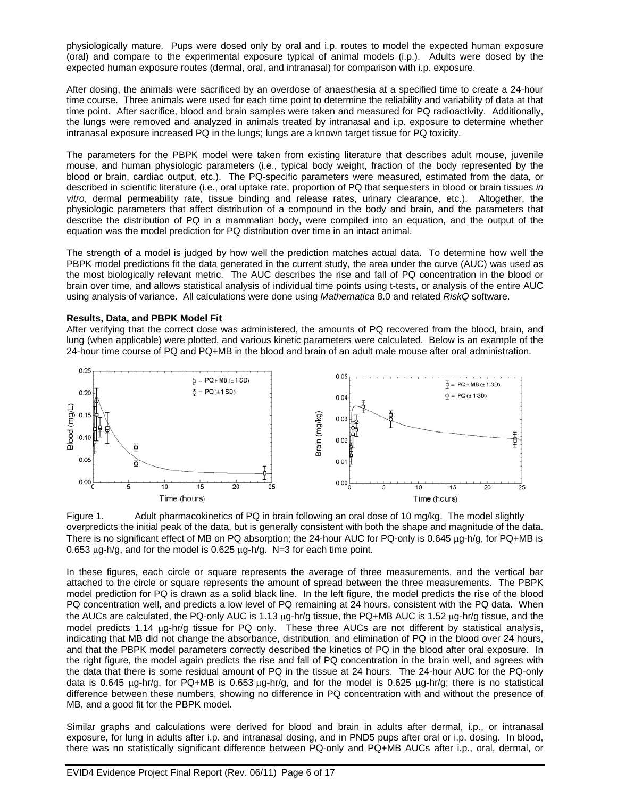physiologically mature. Pups were dosed only by oral and i.p. routes to model the expected human exposure (oral) and compare to the experimental exposure typical of animal models (i.p.). Adults were dosed by the expected human exposure routes (dermal, oral, and intranasal) for comparison with i.p. exposure.

After dosing, the animals were sacrificed by an overdose of anaesthesia at a specified time to create a 24-hour time course. Three animals were used for each time point to determine the reliability and variability of data at that time point. After sacrifice, blood and brain samples were taken and measured for PQ radioactivity. Additionally, the lungs were removed and analyzed in animals treated by intranasal and i.p. exposure to determine whether intranasal exposure increased PQ in the lungs; lungs are a known target tissue for PQ toxicity.

The parameters for the PBPK model were taken from existing literature that describes adult mouse, juvenile mouse, and human physiologic parameters (i.e., typical body weight, fraction of the body represented by the blood or brain, cardiac output, etc.). The PQ-specific parameters were measured, estimated from the data, or described in scientific literature (i.e., oral uptake rate, proportion of PQ that sequesters in blood or brain tissues *in vitro*, dermal permeability rate, tissue binding and release rates, urinary clearance, etc.). Altogether, the physiologic parameters that affect distribution of a compound in the body and brain, and the parameters that describe the distribution of PQ in a mammalian body, were compiled into an equation, and the output of the equation was the model prediction for PQ distribution over time in an intact animal.

The strength of a model is judged by how well the prediction matches actual data. To determine how well the PBPK model predictions fit the data generated in the current study, the area under the curve (AUC) was used as the most biologically relevant metric. The AUC describes the rise and fall of PQ concentration in the blood or brain over time, and allows statistical analysis of individual time points using t-tests, or analysis of the entire AUC using analysis of variance. All calculations were done using *Mathematica* 8.0 and related *RiskQ* software.

#### **Results, Data, and PBPK Model Fit**

After verifying that the correct dose was administered, the amounts of PQ recovered from the blood, brain, and lung (when applicable) were plotted, and various kinetic parameters were calculated. Below is an example of the 24-hour time course of PQ and PQ+MB in the blood and brain of an adult male mouse after oral administration.



Figure 1. Adult pharmacokinetics of PQ in brain following an oral dose of 10 mg/kg. The model slightly overpredicts the initial peak of the data, but is generally consistent with both the shape and magnitude of the data. There is no significant effect of MB on PQ absorption; the 24-hour AUC for PQ-only is  $0.645 \mu$ g-h/g, for PQ+MB is 0.653  $\mu$ g-h/g, and for the model is 0.625  $\mu$ g-h/g. N=3 for each time point.

In these figures, each circle or square represents the average of three measurements, and the vertical bar attached to the circle or square represents the amount of spread between the three measurements. The PBPK model prediction for PQ is drawn as a solid black line. In the left figure, the model predicts the rise of the blood PQ concentration well, and predicts a low level of PQ remaining at 24 hours, consistent with the PQ data. When the AUCs are calculated, the PQ-only AUC is 1.13  $\mu$ g-hr/g tissue, the PQ+MB AUC is 1.52  $\mu$ g-hr/g tissue, and the model predicts 1.14 µg-hr/g tissue for PQ only. These three AUCs are not different by statistical analysis, indicating that MB did not change the absorbance, distribution, and elimination of PQ in the blood over 24 hours, and that the PBPK model parameters correctly described the kinetics of PQ in the blood after oral exposure. In the right figure, the model again predicts the rise and fall of PQ concentration in the brain well, and agrees with the data that there is some residual amount of PQ in the tissue at 24 hours. The 24-hour AUC for the PQ-only data is 0.645  $\mu$ g-hr/g, for PQ+MB is 0.653  $\mu$ g-hr/g, and for the model is 0.625  $\mu$ g-hr/g; there is no statistical difference between these numbers, showing no difference in PQ concentration with and without the presence of MB, and a good fit for the PBPK model. Figure 1. Addit pharmachineties of PQ in brain following an oral does of 10 mins of the there is a statistically every redicts the initial peak of the data, but is generally consistent with both the shape and magnitude of

Similar graphs and calculations were derived for blood and brain in adults after dermal, i.p., or intranasal exposure, for lung in adults after i.p. and intranasal dosing, and in PND5 pups after oral or i.p. dosing. In blood,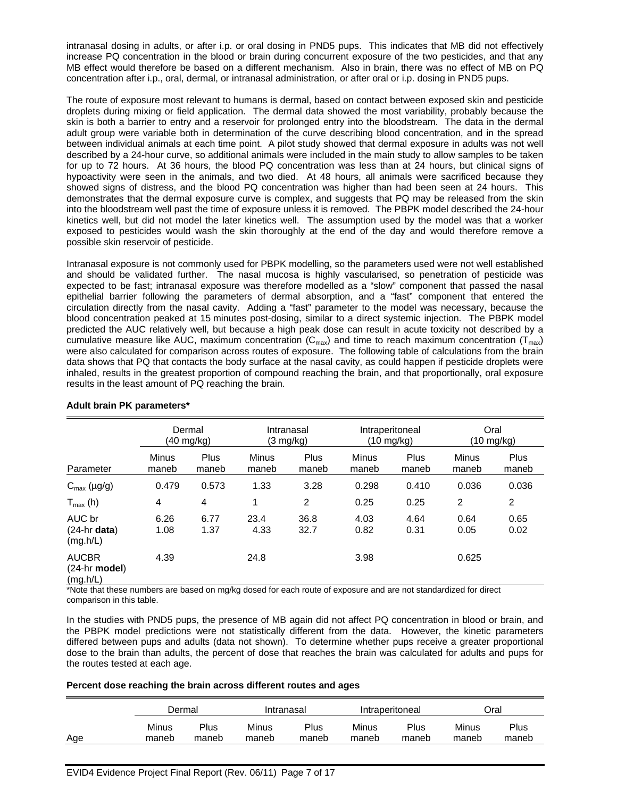intranasal dosing in adults, or after i.p. or oral dosing in PND5 pups. This indicates that MB did not effectively increase PQ concentration in the blood or brain during concurrent exposure of the two pesticides, and that any MB effect would therefore be based on a different mechanism. Also in brain, there was no effect of MB on PQ concentration after i.p., oral, dermal, or intranasal administration, or after oral or i.p. dosing in PND5 pups.

The route of exposure most relevant to humans is dermal, based on contact between exposed skin and pesticide droplets during mixing or field application. The dermal data showed the most variability, probably because the skin is both a barrier to entry and a reservoir for prolonged entry into the bloodstream. The data in the dermal adult group were variable both in determination of the curve describing blood concentration, and in the spread between individual animals at each time point. A pilot study showed that dermal exposure in adults was not well described by a 24-hour curve, so additional animals were included in the main study to allow samples to be taken for up to 72 hours. At 36 hours, the blood PQ concentration was less than at 24 hours, but clinical signs of hypoactivity were seen in the animals, and two died. At 48 hours, all animals were sacrificed because they showed signs of distress, and the blood PQ concentration was higher than had been seen at 24 hours. This demonstrates that the dermal exposure curve is complex, and suggests that PQ may be released from the skin into the bloodstream well past the time of exposure unless it is removed. The PBPK model described the 24-hour kinetics well, but did not model the later kinetics well. The assumption used by the model was that a worker exposed to pesticides would wash the skin thoroughly at the end of the day and would therefore remove a possible skin reservoir of pesticide.

Intranasal exposure is not commonly used for PBPK modelling, so the parameters used were not well established and should be validated further. The nasal mucosa is highly vascularised, so penetration of pesticide was expected to be fast; intranasal exposure was therefore modelled as a "slow" component that passed the nasal epithelial barrier following the parameters of dermal absorption, and a "fast" component that entered the circulation directly from the nasal cavity. Adding a "fast" parameter to the model was necessary, because the blood concentration peaked at 15 minutes post-dosing, similar to a direct systemic injection. The PBPK model predicted the AUC relatively well, but because a high peak dose can result in acute toxicity not described by a cumulative measure like AUC, maximum concentration ( $C_{\text{max}}$ ) and time to reach maximum concentration ( $T_{\text{max}}$ ) were also calculated for comparison across routes of exposure. The following table of calculations from the brain data shows that PQ that contacts the body surface at the nasal cavity, as could happen if pesticide droplets were inhaled, results in the greatest proportion of compound reaching the brain, and that proportionally, oral exposure results in the least amount of PQ reaching the brain.

|                                                     |                | Dermal<br>(40 mg/kg) |                       | Intranasal<br>(3 mg/kg) | Intraperitoneal<br>(10 mg/kg) |               | Oral<br>(10 mg/kg)    |               |
|-----------------------------------------------------|----------------|----------------------|-----------------------|-------------------------|-------------------------------|---------------|-----------------------|---------------|
| Parameter                                           | Minus<br>maneb | Plus<br>maneb        | <b>Minus</b><br>maneb | Plus<br>maneb           | <b>Minus</b><br>maneb         | Plus<br>maneb | <b>Minus</b><br>maneb | Plus<br>maneb |
| $C_{\text{max}}$ (µg/g)                             | 0.479          | 0.573                | 1.33                  | 3.28                    | 0.298                         | 0.410         | 0.036                 | 0.036         |
| $T_{\text{max}}$ (h)                                | 4              | $\overline{4}$       | 1                     | 2                       | 0.25                          | 0.25          | 2                     | 2             |
| AUC br<br>$(24-hr \text{ data})$<br>(mg.h/L)        | 6.26<br>1.08   | 6.77<br>1.37         | 23.4<br>4.33          | 36.8<br>32.7            | 4.03<br>0.82                  | 4.64<br>0.31  | 0.64<br>0.05          | 0.65<br>0.02  |
| <b>AUCBR</b><br>$(24-hr \text{ model})$<br>(mg.h/L) | 4.39           |                      | 24.8                  |                         | 3.98                          |               | 0.625                 |               |

# **Adult brain PK parameters\***

\*Note that these numbers are based on mg/kg dosed for each route of exposure and are not standardized for direct comparison in this table.

In the studies with PND5 pups, the presence of MB again did not affect PQ concentration in blood or brain, and the PBPK model predictions were not statistically different from the data. However, the kinetic parameters differed between pups and adults (data not shown). To determine whether pups receive a greater proportional dose to the brain than adults, the percent of dose that reaches the brain was calculated for adults and pups for the routes tested at each age.

# **Percent dose reaching the brain across different routes and ages**

|     | Dermal |       | Intranasal |       | Intraperitoneal |       | Oral  |       |
|-----|--------|-------|------------|-------|-----------------|-------|-------|-------|
| Age | Minus  | Plus  | Minus      | Plus  | Minus           | Plus  | Minus | Plus  |
|     | maneb  | maneb | maneb      | maneb | maneb           | maneb | maneb | maneb |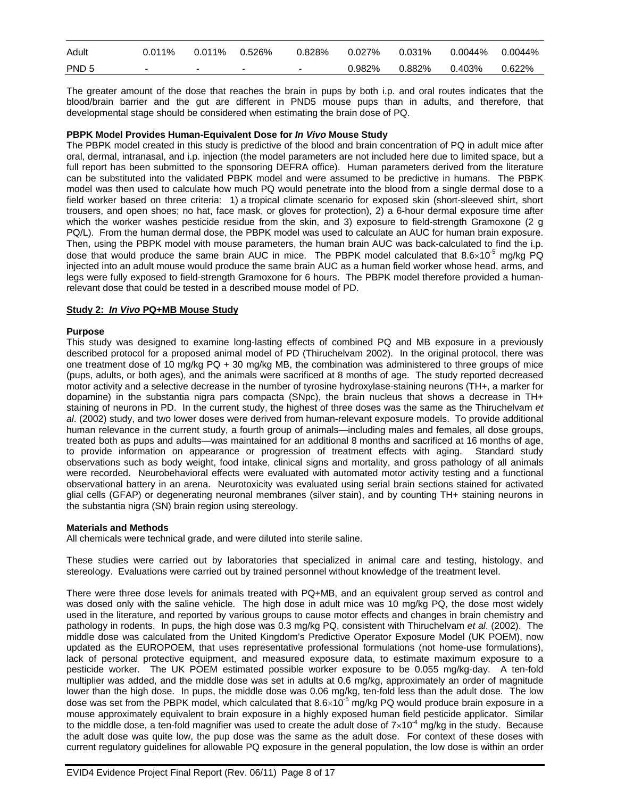| PND <sub>5</sub> | $\sim$ | $\sim$ | $\sim$ $\sim$ | 0.982%                                              | 0.882%  0.403% | 0.622% |
|------------------|--------|--------|---------------|-----------------------------------------------------|----------------|--------|
| Adult            | 0.011% |        |               | $0.828\%$ $0.027\%$ $0.031\%$ $0.0044\%$ $0.0044\%$ |                |        |

The greater amount of the dose that reaches the brain in pups by both i.p. and oral routes indicates that the blood/brain barrier and the gut are different in PND5 mouse pups than in adults, and therefore, that developmental stage should be considered when estimating the brain dose of PQ.

#### **PBPK Model Provides Human-Equivalent Dose for** *In Vivo* **Mouse Study**

The PBPK model created in this study is predictive of the blood and brain concentration of PQ in adult mice after oral, dermal, intranasal, and i.p. injection (the model parameters are not included here due to limited space, but a full report has been submitted to the sponsoring DEFRA office). Human parameters derived from the literature can be substituted into the validated PBPK model and were assumed to be predictive in humans. The PBPK model was then used to calculate how much PQ would penetrate into the blood from a single dermal dose to a field worker based on three criteria: 1) a tropical climate scenario for exposed skin (short-sleeved shirt, short trousers, and open shoes; no hat, face mask, or gloves for protection), 2) a 6-hour dermal exposure time after which the worker washes pesticide residue from the skin, and 3) exposure to field-strength Gramoxone (2 g PQ/L). From the human dermal dose, the PBPK model was used to calculate an AUC for human brain exposure. Then, using the PBPK model with mouse parameters, the human brain AUC was back-calculated to find the i.p. dose that would produce the same brain AUC in mice. The PBPK model calculated that  $8.6\times10^{-5}$  mg/kg PQ injected into an adult mouse would produce the same brain AUC as a human field worker whose head, arms, and legs were fully exposed to field-strength Gramoxone for 6 hours. The PBPK model therefore provided a humanrelevant dose that could be tested in a described mouse model of PD.

#### **Study 2:** *In Vivo* **PQ+MB Mouse Study**

#### **Purpose**

This study was designed to examine long-lasting effects of combined PQ and MB exposure in a previously described protocol for a proposed animal model of PD (Thiruchelvam 2002). In the original protocol, there was one treatment dose of 10 mg/kg PQ + 30 mg/kg MB, the combination was administered to three groups of mice (pups, adults, or both ages), and the animals were sacrificed at 8 months of age. The study reported decreased motor activity and a selective decrease in the number of tyrosine hydroxylase-staining neurons (TH+, a marker for dopamine) in the substantia nigra pars compacta (SNpc), the brain nucleus that shows a decrease in TH+ staining of neurons in PD. In the current study, the highest of three doses was the same as the Thiruchelvam *et al*. (2002) study, and two lower doses were derived from human-relevant exposure models. To provide additional human relevance in the current study, a fourth group of animals—including males and females, all dose groups, treated both as pups and adults—was maintained for an additional 8 months and sacrificed at 16 months of age, to provide information on appearance or progression of treatment effects with aging. Standard study observations such as body weight, food intake, clinical signs and mortality, and gross pathology of all animals were recorded. Neurobehavioral effects were evaluated with automated motor activity testing and a functional observational battery in an arena. Neurotoxicity was evaluated using serial brain sections stained for activated glial cells (GFAP) or degenerating neuronal membranes (silver stain), and by counting TH+ staining neurons in the substantia nigra (SN) brain region using stereology.

# **Materials and Methods**

All chemicals were technical grade, and were diluted into sterile saline.

These studies were carried out by laboratories that specialized in animal care and testing, histology, and stereology. Evaluations were carried out by trained personnel without knowledge of the treatment level.

There were three dose levels for animals treated with PQ+MB, and an equivalent group served as control and was dosed only with the saline vehicle. The high dose in adult mice was 10 mg/kg PQ, the dose most widely used in the literature, and reported by various groups to cause motor effects and changes in brain chemistry and pathology in rodents. In pups, the high dose was 0.3 mg/kg PQ, consistent with Thiruchelvam *et al*. (2002). The middle dose was calculated from the United Kingdom's Predictive Operator Exposure Model (UK POEM), now updated as the EUROPOEM, that uses representative professional formulations (not home-use formulations), lack of personal protective equipment, and measured exposure data, to estimate maximum exposure to a pesticide worker. The UK POEM estimated possible worker exposure to be 0.055 mg/kg-day. A ten-fold multiplier was added, and the middle dose was set in adults at 0.6 mg/kg, approximately an order of magnitude lower than the high dose. In pups, the middle dose was 0.06 mg/kg, ten-fold less than the adult dose. The low dose was set from the PBPK model, which calculated that  $8.6 \times 10^{-5}$  mg/kg PQ would produce brain exposure in a mouse approximately equivalent to brain exposure in a highly exposed human field pesticide applicator. Similar to the middle dose, a ten-fold magnifier was used to create the adult dose of  $7\times10^{-4}$  mg/kg in the study. Because the adult dose was quite low, the pup dose was the same as the adult dose. For context of these doses with current regulatory guidelines for allowable PQ exposure in the general population, the low dose is within an order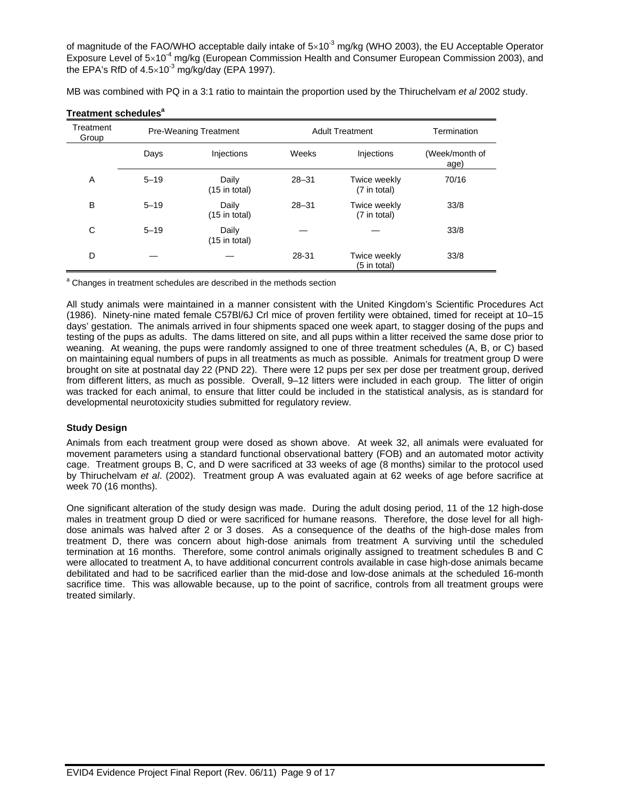of magnitude of the FAO/WHO acceptable daily intake of  $5\times10^{-3}$  mg/kg (WHO 2003), the EU Acceptable Operator Exposure Level of  $5\times10^{-4}$  mg/kg (European Commission Health and Consumer European Commission 2003), and the EPA's RfD of  $4.5\times10^{-3}$  mg/kg/day (EPA 1997).

MB was combined with PQ in a 3:1 ratio to maintain the proportion used by the Thiruchelvam *et al* 2002 study.

| Treatment<br>Group |          | <b>Pre-Weaning Treatment</b> | <b>Adult Treatment</b> | Termination                  |                        |
|--------------------|----------|------------------------------|------------------------|------------------------------|------------------------|
|                    | Days     | Injections                   | Weeks                  | Injections                   | (Week/month of<br>age) |
| A                  | $5 - 19$ | Daily<br>$(15$ in total)     | $28 - 31$              | Twice weekly<br>(7 in total) | 70/16                  |
| B                  | $5 - 19$ | Daily<br>$(15$ in total)     | $28 - 31$              | Twice weekly<br>(7 in total) | 33/8                   |
| С                  | $5 - 19$ | Daily<br>(15 in total)       |                        |                              | 33/8                   |
| D                  |          |                              | 28-31                  | Twice weekly<br>(5 in total) | 33/8                   |

# **Treatment schedules<sup>a</sup>**

<sup>a</sup> Changes in treatment schedules are described in the methods section

All study animals were maintained in a manner consistent with the United Kingdom's Scientific Procedures Act (1986). Ninety-nine mated female C57Bl/6J Crl mice of proven fertility were obtained, timed for receipt at 10–15 days' gestation. The animals arrived in four shipments spaced one week apart, to stagger dosing of the pups and testing of the pups as adults. The dams littered on site, and all pups within a litter received the same dose prior to weaning. At weaning, the pups were randomly assigned to one of three treatment schedules (A, B, or C) based on maintaining equal numbers of pups in all treatments as much as possible. Animals for treatment group D were brought on site at postnatal day 22 (PND 22). There were 12 pups per sex per dose per treatment group, derived from different litters, as much as possible. Overall, 9–12 litters were included in each group. The litter of origin was tracked for each animal, to ensure that litter could be included in the statistical analysis, as is standard for developmental neurotoxicity studies submitted for regulatory review.

# **Study Design**

Animals from each treatment group were dosed as shown above. At week 32, all animals were evaluated for movement parameters using a standard functional observational battery (FOB) and an automated motor activity cage. Treatment groups B, C, and D were sacrificed at 33 weeks of age (8 months) similar to the protocol used by Thiruchelvam *et al*. (2002). Treatment group A was evaluated again at 62 weeks of age before sacrifice at week 70 (16 months).

One significant alteration of the study design was made. During the adult dosing period, 11 of the 12 high-dose males in treatment group D died or were sacrificed for humane reasons. Therefore, the dose level for all highdose animals was halved after 2 or 3 doses. As a consequence of the deaths of the high-dose males from treatment D, there was concern about high-dose animals from treatment A surviving until the scheduled termination at 16 months. Therefore, some control animals originally assigned to treatment schedules B and C were allocated to treatment A, to have additional concurrent controls available in case high-dose animals became debilitated and had to be sacrificed earlier than the mid-dose and low-dose animals at the scheduled 16-month sacrifice time. This was allowable because, up to the point of sacrifice, controls from all treatment groups were treated similarly.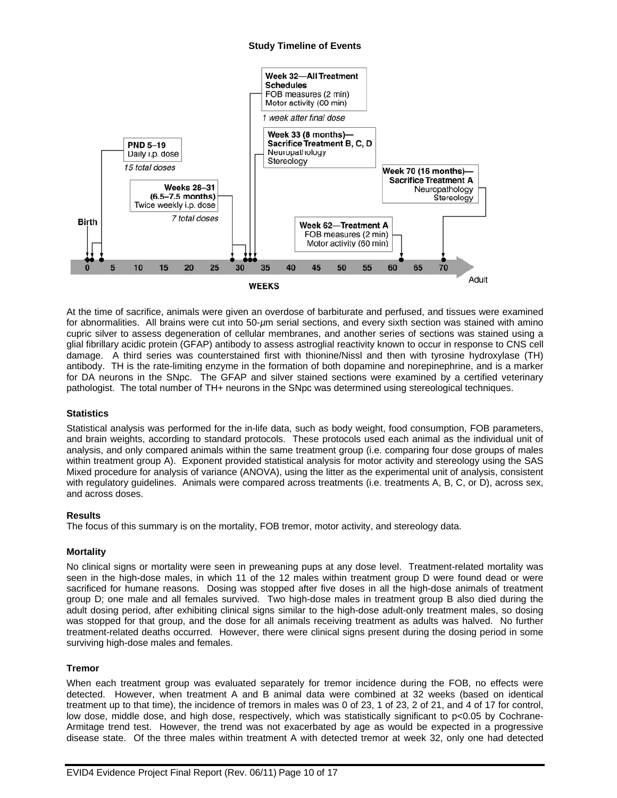#### **Study Timeline of Events**



At the time of sacrifice, animals were given an overdose of barbiturate and perfused, and tissues were examined for abnormalities. All brains were cut into 50-*µ*m serial sections, and every sixth section was stained with amino cupric silver to assess degeneration of cellular membranes, and another series of sections was stained using a glial fibrillary acidic protein (GFAP) antibody to assess astroglial reactivity known to occur in response to CNS cell damage. A third series was counterstained first with thionine/Nissl and then with tyrosine hydroxylase (TH) antibody. TH is the rate-limiting enzyme in the formation of both dopamine and norepinephrine, and is a marker for DA neurons in the SNpc. The GFAP and silver stained sections were examined by a certified veterinary pathologist. The total number of TH+ neurons in the SNpc was determined using stereological techniques.

# **Statistics**

Statistical analysis was performed for the in-life data, such as body weight, food consumption, FOB parameters, and brain weights, according to standard protocols. These protocols used each animal as the individual unit of analysis, and only compared animals within the same treatment group (i.e. comparing four dose groups of males within treatment group A). Exponent provided statistical analysis for motor activity and stereology using the SAS Mixed procedure for analysis of variance (ANOVA), using the litter as the experimental unit of analysis, consistent with regulatory guidelines. Animals were compared across treatments (i.e. treatments A, B, C, or D), across sex, and across doses.

#### **Results**

The focus of this summary is on the mortality, FOB tremor, motor activity, and stereology data.

# **Mortality**

No clinical signs or mortality were seen in preweaning pups at any dose level. Treatment-related mortality was seen in the high-dose males, in which 11 of the 12 males within treatment group D were found dead or were sacrificed for humane reasons. Dosing was stopped after five doses in all the high-dose animals of treatment group D; one male and all females survived. Two high-dose males in treatment group B also died during the adult dosing period, after exhibiting clinical signs similar to the high-dose adult-only treatment males, so dosing was stopped for that group, and the dose for all animals receiving treatment as adults was halved. No further treatment-related deaths occurred. However, there were clinical signs present during the dosing period in some surviving high-dose males and females.

#### **Tremor**

When each treatment group was evaluated separately for tremor incidence during the FOB, no effects were detected. However, when treatment A and B animal data were combined at 32 weeks (based on identical treatment up to that time), the incidence of tremors in males was 0 of 23, 1 of 23, 2 of 21, and 4 of 17 for control, low dose, middle dose, and high dose, respectively, which was statistically significant to p<0.05 by Cochrane-Armitage trend test. However, the trend was not exacerbated by age as would be expected in a progressive disease state. Of the three males within treatment A with detected tremor at week 32, only one had detected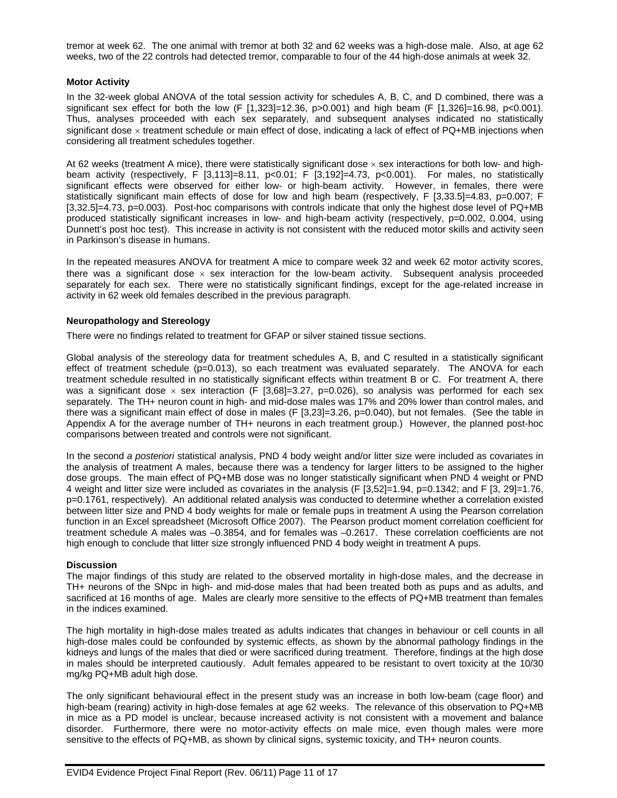tremor at week 62. The one animal with tremor at both 32 and 62 weeks was a high-dose male. Also, at age 62 weeks, two of the 22 controls had detected tremor, comparable to four of the 44 high-dose animals at week 32.

#### **Motor Activity**

In the 32-week global ANOVA of the total session activity for schedules A, B, C, and D combined, there was a significant sex effect for both the low (F [1,323]=12.36, p>0.001) and high beam (F [1,326]=16.98, p<0.001). Thus, analyses proceeded with each sex separately, and subsequent analyses indicated no statistically significant dose  $\times$  treatment schedule or main effect of dose, indicating a lack of effect of PQ+MB injections when considering all treatment schedules together.

At 62 weeks (treatment A mice), there were statistically significant dose  $\times$  sex interactions for both low- and highbeam activity (respectively, F [3,113]=8.11, p<0.01; F [3,192]=4.73, p<0.001). For males, no statistically significant effects were observed for either low- or high-beam activity. However, in females, there were statistically significant main effects of dose for low and high beam (respectively, F [3,33.5]=4.83, p=0.007; F [3,32.5]=4.73, p=0.003). Post-hoc comparisons with controls indicate that only the highest dose level of PQ+MB produced statistically significant increases in low- and high-beam activity (respectively, p=0.002, 0.004, using Dunnett's post hoc test). This increase in activity is not consistent with the reduced motor skills and activity seen in Parkinson's disease in humans.

In the repeated measures ANOVA for treatment A mice to compare week 32 and week 62 motor activity scores, there was a significant dose  $\times$  sex interaction for the low-beam activity. Subsequent analysis proceeded separately for each sex. There were no statistically significant findings, except for the age-related increase in activity in 62 week old females described in the previous paragraph.

#### **Neuropathology and Stereology**

There were no findings related to treatment for GFAP or silver stained tissue sections.

Global analysis of the stereology data for treatment schedules A, B, and C resulted in a statistically significant effect of treatment schedule (p=0.013), so each treatment was evaluated separately. The ANOVA for each treatment schedule resulted in no statistically significant effects within treatment B or C. For treatment A, there was a significant dose  $\times$  sex interaction (F [3,68]=3.27, p=0.026), so analysis was performed for each sex separately. The TH+ neuron count in high- and mid-dose males was 17% and 20% lower than control males, and there was a significant main effect of dose in males (F [3,23]=3.26, p=0.040), but not females. (See the table in Appendix A for the average number of TH+ neurons in each treatment group.) However, the planned post-hoc comparisons between treated and controls were not significant.

In the second *a posteriori* statistical analysis, PND 4 body weight and/or litter size were included as covariates in the analysis of treatment A males, because there was a tendency for larger litters to be assigned to the higher dose groups. The main effect of PQ+MB dose was no longer statistically significant when PND 4 weight or PND 4 weight and litter size were included as covariates in the analysis (F [3,52]=1.94, p=0.1342; and F [3, 29]=1.76, p=0.1761, respectively). An additional related analysis was conducted to determine whether a correlation existed between litter size and PND 4 body weights for male or female pups in treatment A using the Pearson correlation function in an Excel spreadsheet (Microsoft Office 2007). The Pearson product moment correlation coefficient for treatment schedule A males was –0.3854, and for females was –0.2617. These correlation coefficients are not high enough to conclude that litter size strongly influenced PND 4 body weight in treatment A pups.

# **Discussion**

The major findings of this study are related to the observed mortality in high-dose males, and the decrease in TH+ neurons of the SNpc in high- and mid-dose males that had been treated both as pups and as adults, and sacrificed at 16 months of age. Males are clearly more sensitive to the effects of PQ+MB treatment than females in the indices examined.

The high mortality in high-dose males treated as adults indicates that changes in behaviour or cell counts in all high-dose males could be confounded by systemic effects, as shown by the abnormal pathology findings in the kidneys and lungs of the males that died or were sacrificed during treatment. Therefore, findings at the high dose in males should be interpreted cautiously. Adult females appeared to be resistant to overt toxicity at the 10/30 mg/kg PQ+MB adult high dose.

The only significant behavioural effect in the present study was an increase in both low-beam (cage floor) and high-beam (rearing) activity in high-dose females at age 62 weeks. The relevance of this observation to PQ+MB in mice as a PD model is unclear, because increased activity is not consistent with a movement and balance disorder. Furthermore, there were no motor-activity effects on male mice, even though males were more sensitive to the effects of PQ+MB, as shown by clinical signs, systemic toxicity, and TH+ neuron counts.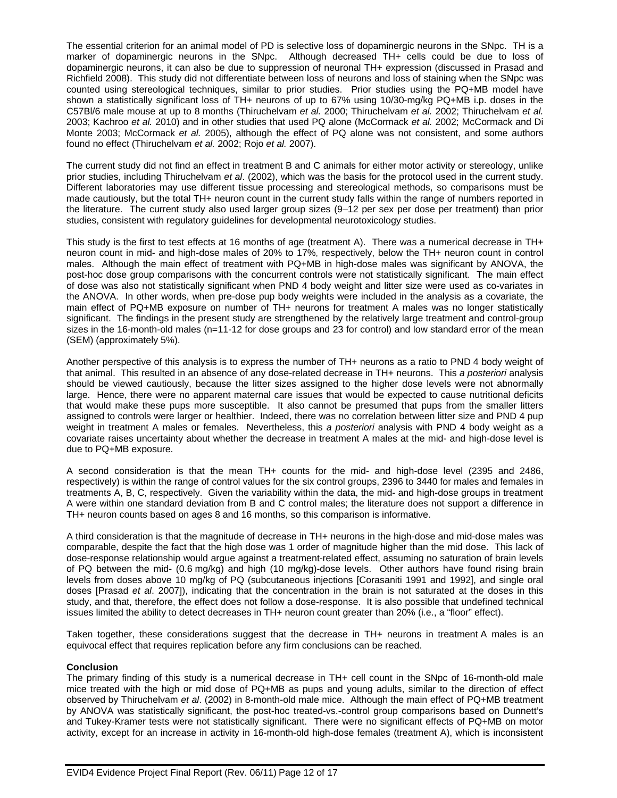The essential criterion for an animal model of PD is selective loss of dopaminergic neurons in the SNpc. TH is a marker of dopaminergic neurons in the SNpc. Although decreased TH+ cells could be due to loss of dopaminergic neurons, it can also be due to suppression of neuronal TH+ expression (discussed in Prasad and Richfield 2008). This study did not differentiate between loss of neurons and loss of staining when the SNpc was counted using stereological techniques, similar to prior studies. Prior studies using the PQ+MB model have shown a statistically significant loss of TH+ neurons of up to 67% using 10/30-mg/kg PQ+MB i.p. doses in the C57Bl/6 male mouse at up to 8 months (Thiruchelvam *et al.* 2000; Thiruchelvam *et al.* 2002; Thiruchelvam *et al.* 2003; Kachroo *et al.* 2010) and in other studies that used PQ alone (McCormack *et al.* 2002; McCormack and Di Monte 2003; McCormack *et al.* 2005), although the effect of PQ alone was not consistent, and some authors found no effect (Thiruchelvam *et al.* 2002; Rojo *et al.* 2007).

The current study did not find an effect in treatment B and C animals for either motor activity or stereology, unlike prior studies, including Thiruchelvam *et al*. (2002), which was the basis for the protocol used in the current study. Different laboratories may use different tissue processing and stereological methods, so comparisons must be made cautiously, but the total TH+ neuron count in the current study falls within the range of numbers reported in the literature. The current study also used larger group sizes (9–12 per sex per dose per treatment) than prior studies, consistent with regulatory guidelines for developmental neurotoxicology studies.

This study is the first to test effects at 16 months of age (treatment A). There was a numerical decrease in TH+ neuron count in mid- and high-dose males of 20% to 17%, respectively, below the TH+ neuron count in control males. Although the main effect of treatment with PQ+MB in high-dose males was significant by ANOVA, the post-hoc dose group comparisons with the concurrent controls were not statistically significant. The main effect of dose was also not statistically significant when PND 4 body weight and litter size were used as co-variates in the ANOVA. In other words, when pre-dose pup body weights were included in the analysis as a covariate, the main effect of PQ+MB exposure on number of TH+ neurons for treatment A males was no longer statistically significant. The findings in the present study are strengthened by the relatively large treatment and control-group sizes in the 16-month-old males (n=11-12 for dose groups and 23 for control) and low standard error of the mean (SEM) (approximately 5%).

Another perspective of this analysis is to express the number of TH+ neurons as a ratio to PND 4 body weight of that animal. This resulted in an absence of any dose-related decrease in TH+ neurons. This *a posteriori* analysis should be viewed cautiously, because the litter sizes assigned to the higher dose levels were not abnormally large. Hence, there were no apparent maternal care issues that would be expected to cause nutritional deficits that would make these pups more susceptible. It also cannot be presumed that pups from the smaller litters assigned to controls were larger or healthier. Indeed, there was no correlation between litter size and PND 4 pup weight in treatment A males or females. Nevertheless, this *a posteriori* analysis with PND 4 body weight as a covariate raises uncertainty about whether the decrease in treatment A males at the mid- and high-dose level is due to PQ+MB exposure.

A second consideration is that the mean TH+ counts for the mid- and high-dose level (2395 and 2486, respectively) is within the range of control values for the six control groups, 2396 to 3440 for males and females in treatments A, B, C, respectively. Given the variability within the data, the mid- and high-dose groups in treatment A were within one standard deviation from B and C control males; the literature does not support a difference in TH+ neuron counts based on ages 8 and 16 months, so this comparison is informative.

A third consideration is that the magnitude of decrease in TH+ neurons in the high-dose and mid-dose males was comparable, despite the fact that the high dose was 1 order of magnitude higher than the mid dose. This lack of dose-response relationship would argue against a treatment-related effect, assuming no saturation of brain levels of PQ between the mid- (0.6 mg/kg) and high (10 mg/kg)-dose levels. Other authors have found rising brain levels from doses above 10 mg/kg of PQ (subcutaneous injections [Corasaniti 1991 and 1992], and single oral doses [Prasad *et al*. 2007]), indicating that the concentration in the brain is not saturated at the doses in this study, and that, therefore, the effect does not follow a dose-response. It is also possible that undefined technical issues limited the ability to detect decreases in TH+ neuron count greater than 20% (i.e., a "floor" effect).

Taken together, these considerations suggest that the decrease in TH+ neurons in treatment A males is an equivocal effect that requires replication before any firm conclusions can be reached.

#### **Conclusion**

The primary finding of this study is a numerical decrease in TH+ cell count in the SNpc of 16-month-old male mice treated with the high or mid dose of PQ+MB as pups and young adults, similar to the direction of effect observed by Thiruchelvam *et al*. (2002) in 8-month-old male mice. Although the main effect of PQ+MB treatment by ANOVA was statistically significant, the post-hoc treated-vs.-control group comparisons based on Dunnett's and Tukey-Kramer tests were not statistically significant. There were no significant effects of PQ+MB on motor activity, except for an increase in activity in 16-month-old high-dose females (treatment A), which is inconsistent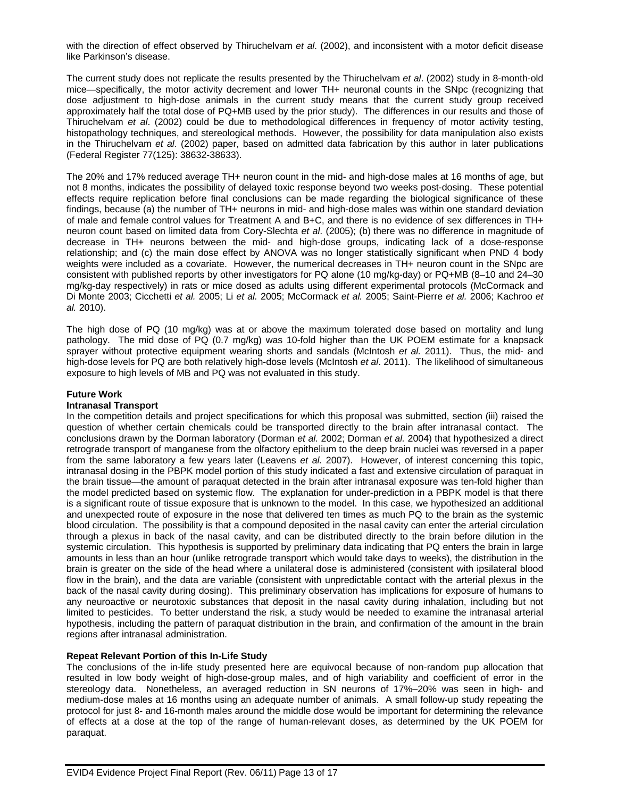with the direction of effect observed by Thiruchelvam *et al*. (2002), and inconsistent with a motor deficit disease like Parkinson's disease.

The current study does not replicate the results presented by the Thiruchelvam *et al*. (2002) study in 8-month-old mice—specifically, the motor activity decrement and lower TH+ neuronal counts in the SNpc (recognizing that dose adjustment to high-dose animals in the current study means that the current study group received approximately half the total dose of PQ+MB used by the prior study). The differences in our results and those of Thiruchelvam *et al*. (2002) could be due to methodological differences in frequency of motor activity testing, histopathology techniques, and stereological methods. However, the possibility for data manipulation also exists in the Thiruchelvam *et al*. (2002) paper, based on admitted data fabrication by this author in later publications (Federal Register 77(125): 38632-38633).

The 20% and 17% reduced average TH+ neuron count in the mid- and high-dose males at 16 months of age, but not 8 months, indicates the possibility of delayed toxic response beyond two weeks post-dosing. These potential effects require replication before final conclusions can be made regarding the biological significance of these findings, because (a) the number of TH+ neurons in mid- and high-dose males was within one standard deviation of male and female control values for Treatment A and B+C, and there is no evidence of sex differences in TH+ neuron count based on limited data from Cory-Slechta *et al*. (2005); (b) there was no difference in magnitude of decrease in TH+ neurons between the mid- and high-dose groups, indicating lack of a dose-response relationship; and (c) the main dose effect by ANOVA was no longer statistically significant when PND 4 body weights were included as a covariate. However, the numerical decreases in TH+ neuron count in the SNpc are consistent with published reports by other investigators for PQ alone (10 mg/kg-day) or PQ+MB (8–10 and 24–30 mg/kg-day respectively) in rats or mice dosed as adults using different experimental protocols (McCormack and Di Monte 2003; Cicchetti *et al.* 2005; Li *et al.* 2005; McCormack *et al.* 2005; Saint-Pierre *et al.* 2006; Kachroo *et al.* 2010).

The high dose of PQ (10 mg/kg) was at or above the maximum tolerated dose based on mortality and lung pathology. The mid dose of PQ (0.7 mg/kg) was 10-fold higher than the UK POEM estimate for a knapsack sprayer without protective equipment wearing shorts and sandals (McIntosh *et al.* 2011). Thus, the mid- and high-dose levels for PQ are both relatively high-dose levels (McIntosh *et al*. 2011). The likelihood of simultaneous exposure to high levels of MB and PQ was not evaluated in this study.

#### **Future Work**

# **Intranasal Transport**

In the competition details and project specifications for which this proposal was submitted, section (iii) raised the question of whether certain chemicals could be transported directly to the brain after intranasal contact. The conclusions drawn by the Dorman laboratory (Dorman *et al.* 2002; Dorman *et al.* 2004) that hypothesized a direct retrograde transport of manganese from the olfactory epithelium to the deep brain nuclei was reversed in a paper from the same laboratory a few years later (Leavens *et al.* 2007). However, of interest concerning this topic, intranasal dosing in the PBPK model portion of this study indicated a fast and extensive circulation of paraquat in the brain tissue—the amount of paraquat detected in the brain after intranasal exposure was ten-fold higher than the model predicted based on systemic flow. The explanation for under-prediction in a PBPK model is that there is a significant route of tissue exposure that is unknown to the model. In this case, we hypothesized an additional and unexpected route of exposure in the nose that delivered ten times as much PQ to the brain as the systemic blood circulation. The possibility is that a compound deposited in the nasal cavity can enter the arterial circulation through a plexus in back of the nasal cavity, and can be distributed directly to the brain before dilution in the systemic circulation. This hypothesis is supported by preliminary data indicating that PQ enters the brain in large amounts in less than an hour (unlike retrograde transport which would take days to weeks), the distribution in the brain is greater on the side of the head where a unilateral dose is administered (consistent with ipsilateral blood flow in the brain), and the data are variable (consistent with unpredictable contact with the arterial plexus in the back of the nasal cavity during dosing). This preliminary observation has implications for exposure of humans to any neuroactive or neurotoxic substances that deposit in the nasal cavity during inhalation, including but not limited to pesticides. To better understand the risk, a study would be needed to examine the intranasal arterial hypothesis, including the pattern of paraquat distribution in the brain, and confirmation of the amount in the brain regions after intranasal administration.

# **Repeat Relevant Portion of this In-Life Study**

The conclusions of the in-life study presented here are equivocal because of non-random pup allocation that resulted in low body weight of high-dose-group males, and of high variability and coefficient of error in the stereology data. Nonetheless, an averaged reduction in SN neurons of 17%–20% was seen in high- and medium-dose males at 16 months using an adequate number of animals. A small follow-up study repeating the protocol for just 8- and 16-month males around the middle dose would be important for determining the relevance of effects at a dose at the top of the range of human-relevant doses, as determined by the UK POEM for paraquat.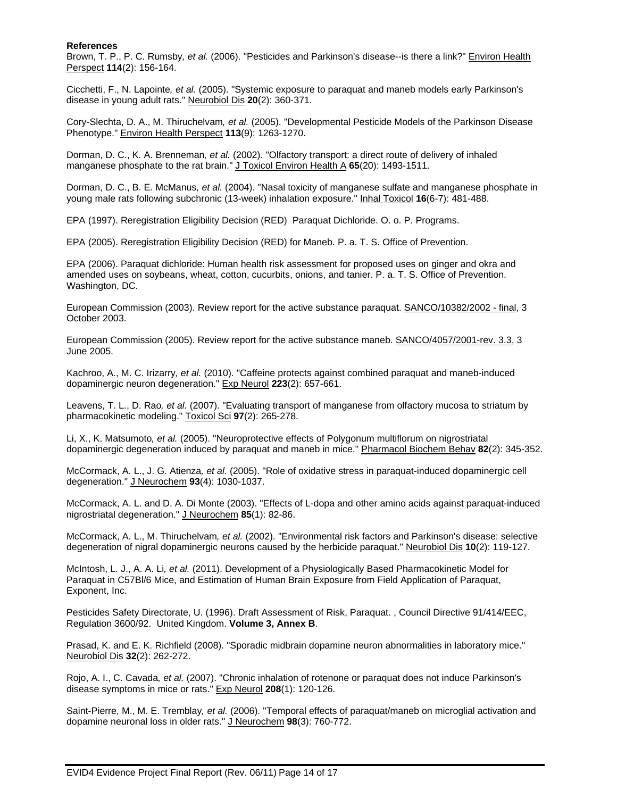#### **References**

Brown, T. P., P. C. Rumsby*, et al.* (2006). "Pesticides and Parkinson's disease--is there a link?" Environ Health Perspect **114**(2): 156-164.

Cicchetti, F., N. Lapointe*, et al.* (2005). "Systemic exposure to paraquat and maneb models early Parkinson's disease in young adult rats." Neurobiol Dis **20**(2): 360-371.

Cory-Slechta, D. A., M. Thiruchelvam*, et al.* (2005). "Developmental Pesticide Models of the Parkinson Disease Phenotype." Environ Health Perspect **113**(9): 1263-1270.

Dorman, D. C., K. A. Brenneman*, et al.* (2002). "Olfactory transport: a direct route of delivery of inhaled manganese phosphate to the rat brain." J Toxicol Environ Health A 65(20): 1493-1511.

Dorman, D. C., B. E. McManus*, et al.* (2004). "Nasal toxicity of manganese sulfate and manganese phosphate in young male rats following subchronic (13-week) inhalation exposure." Inhal Toxicol **16**(6-7): 481-488.

EPA (1997). Reregistration Eligibility Decision (RED) Paraquat Dichloride. O. o. P. Programs.

EPA (2005). Reregistration Eligibility Decision (RED) for Maneb. P. a. T. S. Office of Prevention.

EPA (2006). Paraquat dichloride: Human health risk assessment for proposed uses on ginger and okra and amended uses on soybeans, wheat, cotton, cucurbits, onions, and tanier. P. a. T. S. Office of Prevention. Washington, DC.

European Commission (2003). Review report for the active substance paraquat. SANCO/10382/2002 - final, 3 October 2003.

European Commission (2005). Review report for the active substance maneb. SANCO/4057/2001-rev. 3.3, 3 June 2005.

Kachroo, A., M. C. Irizarry*, et al.* (2010). "Caffeine protects against combined paraquat and maneb-induced dopaminergic neuron degeneration." Exp Neurol **223**(2): 657-661.

Leavens, T. L., D. Rao*, et al.* (2007). "Evaluating transport of manganese from olfactory mucosa to striatum by pharmacokinetic modeling." Toxicol Sci **97**(2): 265-278.

Li, X., K. Matsumoto*, et al.* (2005). "Neuroprotective effects of Polygonum multiflorum on nigrostriatal dopaminergic degeneration induced by paraquat and maneb in mice." Pharmacol Biochem Behav **82**(2): 345-352.

McCormack, A. L., J. G. Atienza*, et al.* (2005). "Role of oxidative stress in paraquat-induced dopaminergic cell degeneration." J Neurochem **93**(4): 1030-1037.

McCormack, A. L. and D. A. Di Monte (2003). "Effects of L-dopa and other amino acids against paraquat-induced nigrostriatal degeneration." J Neurochem **85**(1): 82-86.

McCormack, A. L., M. Thiruchelvam*, et al.* (2002). "Environmental risk factors and Parkinson's disease: selective degeneration of nigral dopaminergic neurons caused by the herbicide paraquat." Neurobiol Dis **10**(2): 119-127.

McIntosh, L. J., A. A. Li*, et al.* (2011). Development of a Physiologically Based Pharmacokinetic Model for Paraquat in C57Bl/6 Mice, and Estimation of Human Brain Exposure from Field Application of Paraquat, Exponent, Inc.

Pesticides Safety Directorate, U. (1996). Draft Assessment of Risk, Paraquat. , Council Directive 91/414/EEC, Regulation 3600/92. United Kingdom. **Volume 3, Annex B**.

Prasad, K. and E. K. Richfield (2008). "Sporadic midbrain dopamine neuron abnormalities in laboratory mice." Neurobiol Dis **32**(2): 262-272.

Rojo, A. I., C. Cavada*, et al.* (2007). "Chronic inhalation of rotenone or paraquat does not induce Parkinson's disease symptoms in mice or rats." Exp Neurol **208**(1): 120-126.

Saint-Pierre, M., M. E. Tremblay*, et al.* (2006). "Temporal effects of paraquat/maneb on microglial activation and dopamine neuronal loss in older rats." J Neurochem **98**(3): 760-772.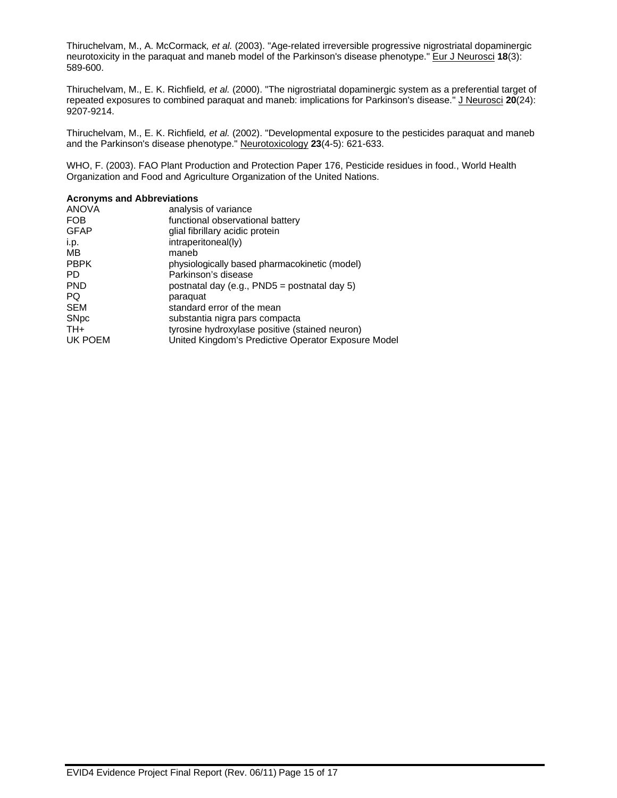Thiruchelvam, M., A. McCormack*, et al.* (2003). "Age-related irreversible progressive nigrostriatal dopaminergic neurotoxicity in the paraquat and maneb model of the Parkinson's disease phenotype." Eur J Neurosci **18**(3): 589-600.

Thiruchelvam, M., E. K. Richfield*, et al.* (2000). "The nigrostriatal dopaminergic system as a preferential target of repeated exposures to combined paraquat and maneb: implications for Parkinson's disease." J Neurosci **20**(24): 9207-9214.

Thiruchelvam, M., E. K. Richfield*, et al.* (2002). "Developmental exposure to the pesticides paraquat and maneb and the Parkinson's disease phenotype." Neurotoxicology **23**(4-5): 621-633.

WHO, F. (2003). FAO Plant Production and Protection Paper 176, Pesticide residues in food., World Health Organization and Food and Agriculture Organization of the United Nations.

| <b>Acronyms and Abbreviations</b>                   |
|-----------------------------------------------------|
| analysis of variance                                |
| functional observational battery                    |
| glial fibrillary acidic protein                     |
| intraperitoneal(ly)                                 |
| maneb                                               |
| physiologically based pharmacokinetic (model)       |
| Parkinson's disease                                 |
| postnatal day (e.g., PND5 = postnatal day 5)        |
| paraquat                                            |
| standard error of the mean                          |
| substantia nigra pars compacta                      |
| tyrosine hydroxylase positive (stained neuron)      |
| United Kingdom's Predictive Operator Exposure Model |
|                                                     |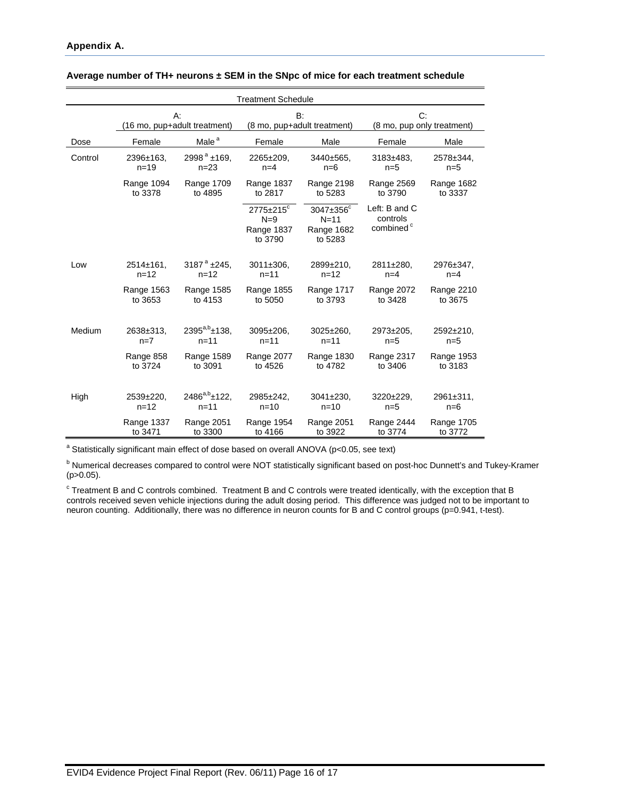| <b>Treatment Schedule</b> |                              |                         |                                                               |                                                          |                                                    |            |  |  |  |
|---------------------------|------------------------------|-------------------------|---------------------------------------------------------------|----------------------------------------------------------|----------------------------------------------------|------------|--|--|--|
|                           | $A$ :                        |                         |                                                               | B:                                                       | C:                                                 |            |  |  |  |
|                           | (16 mo, pup+adult treatment) |                         | (8 mo, pup+adult treatment)                                   |                                                          | (8 mo, pup only treatment)                         |            |  |  |  |
| Dose                      | Female                       | Male <sup>a</sup>       | Female                                                        | Male                                                     | Female                                             | Male       |  |  |  |
| Control                   | 2396±163.                    | $2998^{\text{a}}$ ±169, | 2265±209.                                                     | 3440±565.                                                | 3183±483.                                          | 2578±344,  |  |  |  |
|                           | $n = 19$                     | $n = 23$                | $n=4$                                                         | $n=6$                                                    | $n=5$                                              | $n=5$      |  |  |  |
|                           | Range 1094                   | Range 1709              | Range 1837                                                    | Range 2198                                               | Range 2569                                         | Range 1682 |  |  |  |
|                           | to 3378                      | to 4895                 | to 2817                                                       | to 5283                                                  | to 3790                                            | to 3337    |  |  |  |
|                           |                              |                         | $2775 \pm 215$ <sup>c</sup><br>$N=9$<br>Range 1837<br>to 3790 | 3047±356 <sup>c</sup><br>$N=11$<br>Range 1682<br>to 5283 | Left: B and C<br>controls<br>combined <sup>c</sup> |            |  |  |  |
| Low                       | $2514 \pm 161$               | 3187 $^a$ ±245,         | 3011±306.                                                     | 2899±210.                                                | 2811±280,                                          | 2976±347.  |  |  |  |
|                           | $n = 12$                     | $n = 12$                | $n = 11$                                                      | $n = 12$                                                 | $n=4$                                              | $n=4$      |  |  |  |
|                           | Range 1563                   | Range 1585              | Range 1855                                                    | Range 1717                                               | Range 2072                                         | Range 2210 |  |  |  |
|                           | to 3653                      | to 4153                 | to 5050                                                       | to 3793                                                  | to 3428                                            | to 3675    |  |  |  |
| Medium                    | 2638±313.                    | $2395^{a,b}$ ±138,      | 3095±206.                                                     | $3025 \pm 260.$                                          | 2973±205.                                          | 2592±210.  |  |  |  |
|                           | $n=7$                        | $n = 11$                | $n = 11$                                                      | $n = 11$                                                 | $n=5$                                              | $n=5$      |  |  |  |
|                           | Range 858                    | Range 1589              | Range 2077                                                    | Range 1830                                               | Range 2317                                         | Range 1953 |  |  |  |
|                           | to 3724                      | to 3091                 | to 4526                                                       | to 4782                                                  | to 3406                                            | to 3183    |  |  |  |
| High                      | 2539±220,                    | $2486^{a,b}$ ±122,      | 2985±242.                                                     | $3041 \pm 230$ ,                                         | 3220±229.                                          | 2961±311,  |  |  |  |
|                           | $n = 12$                     | $n = 11$                | $n = 10$                                                      | $n = 10$                                                 | $n=5$                                              | $n=6$      |  |  |  |
|                           | Range 1337                   | Range 2051              | Range 1954                                                    | Range 2051                                               | Range 2444                                         | Range 1705 |  |  |  |
|                           | to 3471                      | to 3300                 | to 4166                                                       | to 3922                                                  | to 3774                                            | to 3772    |  |  |  |

#### **Average number of TH+ neurons ± SEM in the SNpc of mice for each treatment schedule**

<sup>a</sup> Statistically significant main effect of dose based on overall ANOVA (p<0.05, see text)

<sup>b</sup> Numerical decreases compared to control were NOT statistically significant based on post-hoc Dunnett's and Tukey-Kramer (p>0.05).

<sup>c</sup> Treatment B and C controls combined. Treatment B and C controls were treated identically, with the exception that B controls received seven vehicle injections during the adult dosing period. This difference was judged not to be important to neuron counting. Additionally, there was no difference in neuron counts for B and C control groups (p=0.941, t-test).